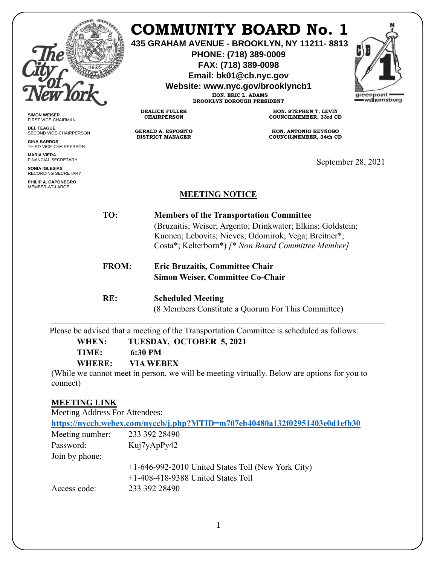

**SIMON WEISER** FIRST VICE-CHAIRMAN **DEL TEAGUE**

**GINA BARROS** THIRD VICE-CHAIRPERSON

**MARIA VIERA** FINANCIAL SECRETARY **SONIA IGLESIAS** RECORDING SECRETARY **PHILIP A. CAPONEGRO** MEMBER-AT-LARGE

SECOND VICE-CHAIRPERSON

# **COMMUNITY BOARD No. 1**

**435 GRAHAM AVENUE - BROOKLYN, NY 11211- 8813**

**PHONE: (718) 389-0009 FAX: (718) 389-0098**

**Email: bk01@cb.nyc.gov**

**Website: www.nyc.gov/brooklyncb1**

**HON. ERIC L. ADAMS BROOKLYN BOROUGH PRESIDENT**

**DEALICE FULLER CHAIRPERSON**

**GERALD A. ESPOSITO DISTRICT MANAGER**

**HON. STEPHEN T. LEVIN COUNCILMEMBER, 33rd CD**

**HON. ANTONIO REYNOSO COUNCILMEMBER, 34th CD**

September 28, 2021

#### **MEETING NOTICE**

 **TO: Members of the Transportation Committee** (Bruzaitis; Weiser; Argento; Drinkwater; Elkins; Goldstein; Kuonen; Lebovits; Nieves; Odomirok; Vega; Breitner\*; Costa\*; Kelterborn\*) *[\* Non Board Committee Member]*

**FROM: Eric Bruzaitis, Committee Chair Simon Weiser, Committee Co-Chair**

**RE: Scheduled Meeting** (8 Members Constitute a Quorum For This Committee)

**\_\_\_\_\_\_\_\_\_\_\_\_\_\_\_\_\_\_\_\_\_\_\_\_\_\_\_\_\_\_\_\_\_\_\_\_\_\_\_\_\_\_\_\_\_\_\_\_\_\_\_\_\_\_\_\_\_\_\_\_\_\_\_\_\_\_\_\_\_\_\_\_\_\_\_\_\_\_**

Please be advised that a meeting of the Transportation Committee is scheduled as follows:

 **WHEN: TUESDAY, OCTOBER 5, 2021**

 **TIME: 6:30 PM**

 **WHERE: VIA WEBEX**

(While we cannot meet in person, we will be meeting virtually. Below are options for you to connect)

## **MEETING LINK**

Meeting Address For Attendees:

| https://nyccb.webex.com/nyccb/j.php?MTID=m707eb40480a132f02951403e0d1efb30 |                                                      |
|----------------------------------------------------------------------------|------------------------------------------------------|
| Meeting number:                                                            | 233 392 28490                                        |
| Password:                                                                  | Kuj7yApPy42                                          |
| Join by phone:                                                             |                                                      |
|                                                                            | $+1-646-992-2010$ United States Toll (New York City) |
|                                                                            | $+1-408-418-9388$ United States Toll                 |
| Access code:                                                               | 233 392 28490                                        |